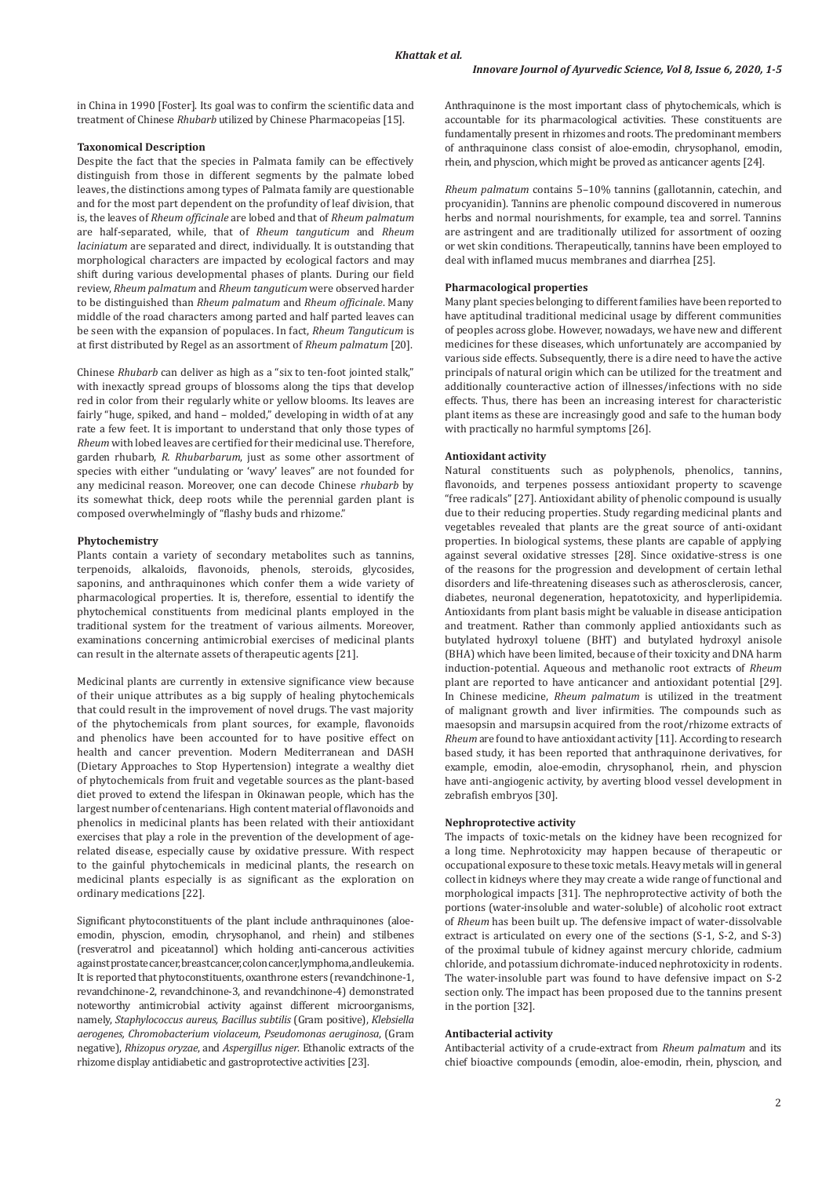in China in 1990 [Foster]. Its goal was to confirm the scientific data and treatment of Chinese *Rhubarb* utilized by Chinese Pharmacopeias [15].

# **Taxonomical Description**

Despite the fact that the species in Palmata family can be effectively distinguish from those in different segments by the palmate lobed leaves, the distinctions among types of Palmata family are questionable and for the most part dependent on the profundity of leaf division, that is, the leaves of *Rheum officinale* are lobed and that of *Rheum palmatum*  are half-separated, while, that of *Rheum tanguticum* and *Rheum laciniatum* are separated and direct, individually. It is outstanding that morphological characters are impacted by ecological factors and may shift during various developmental phases of plants. During our field review, *Rheum palmatum* and *Rheum tanguticum* were observed harder to be distinguished than *Rheum palmatum* and *Rheum officinale*. Many middle of the road characters among parted and half parted leaves can be seen with the expansion of populaces. In fact, *Rheum Tanguticum* is at first distributed by Regel as an assortment of *Rheum palmatum* [20].

Chinese *Rhubarb* can deliver as high as a "six to ten-foot jointed stalk," with inexactly spread groups of blossoms along the tips that develop red in color from their regularly white or yellow blooms. Its leaves are fairly "huge, spiked, and hand – molded," developing in width of at any rate a few feet. It is important to understand that only those types of *Rheum* with lobed leaves are certified for their medicinal use. Therefore, garden rhubarb, *R. Rhubarbarum*, just as some other assortment of species with either "undulating or 'wavy' leaves" are not founded for any medicinal reason. Moreover, one can decode Chinese *rhubarb* by its somewhat thick, deep roots while the perennial garden plant is composed overwhelmingly of "flashy buds and rhizome."

### **Phytochemistry**

Plants contain a variety of secondary metabolites such as tannins, terpenoids, alkaloids, flavonoids, phenols, steroids, glycosides, saponins, and anthraquinones which confer them a wide variety of pharmacological properties. It is, therefore, essential to identify the phytochemical constituents from medicinal plants employed in the traditional system for the treatment of various ailments. Moreover, examinations concerning antimicrobial exercises of medicinal plants can result in the alternate assets of therapeutic agents [21].

Medicinal plants are currently in extensive significance view because of their unique attributes as a big supply of healing phytochemicals that could result in the improvement of novel drugs. The vast majority of the phytochemicals from plant sources, for example, flavonoids and phenolics have been accounted for to have positive effect on health and cancer prevention. Modern Mediterranean and DASH (Dietary Approaches to Stop Hypertension) integrate a wealthy diet of phytochemicals from fruit and vegetable sources as the plant-based diet proved to extend the lifespan in Okinawan people, which has the largest number of centenarians. High content material of flavonoids and phenolics in medicinal plants has been related with their antioxidant exercises that play a role in the prevention of the development of agerelated disease, especially cause by oxidative pressure. With respect to the gainful phytochemicals in medicinal plants, the research on medicinal plants especially is as significant as the exploration on ordinary medications [22].

Significant phytoconstituents of the plant include anthraquinones (aloeemodin, physcion, emodin, chrysophanol, and rhein) and stilbenes (resveratrol and piceatannol) which holding anti-cancerous activities against prostate cancer, breast cancer, colon cancer, lymphoma, and leukemia. It is reported that phytoconstituents, oxanthrone esters (revandchinone-1, revandchinone-2, revandchinone-3, and revandchinone-4) demonstrated noteworthy antimicrobial activity against different microorganisms, namely, *Staphylococcus aureus, Bacillus subtilis* (Gram positive), *Klebsiella aerogenes, Chromobacterium violaceum*, *Pseudomonas aeruginosa*, (Gram negative), *Rhizopus oryzae*, and *Aspergillus niger*. Ethanolic extracts of the rhizome display antidiabetic and gastroprotective activities [23].

Anthraquinone is the most important class of phytochemicals, which is accountable for its pharmacological activities. These constituents are fundamentally present in rhizomes and roots. The predominant members of anthraquinone class consist of aloe-emodin, chrysophanol, emodin, rhein, and physcion, which might be proved as anticancer agents [24].

*Rheum palmatum* contains 5–10% tannins (gallotannin, catechin, and procyanidin). Tannins are phenolic compound discovered in numerous herbs and normal nourishments, for example, tea and sorrel. Tannins are astringent and are traditionally utilized for assortment of oozing or wet skin conditions. Therapeutically, tannins have been employed to deal with inflamed mucus membranes and diarrhea [25].

## **Pharmacological properties**

Many plant species belonging to different families have been reported to have aptitudinal traditional medicinal usage by different communities of peoples across globe. However, nowadays, we have new and different medicines for these diseases, which unfortunately are accompanied by various side effects. Subsequently, there is a dire need to have the active principals of natural origin which can be utilized for the treatment and additionally counteractive action of illnesses/infections with no side effects. Thus, there has been an increasing interest for characteristic plant items as these are increasingly good and safe to the human body with practically no harmful symptoms [26].

#### **Antioxidant activity**

Natural constituents such as polyphenols, phenolics, tannins, flavonoids, and terpenes possess antioxidant property to scavenge "free radicals" [27]. Antioxidant ability of phenolic compound is usually due to their reducing properties. Study regarding medicinal plants and vegetables revealed that plants are the great source of anti-oxidant properties. In biological systems, these plants are capable of applying against several oxidative stresses [28]. Since oxidative-stress is one of the reasons for the progression and development of certain lethal disorders and life-threatening diseases such as atherosclerosis, cancer, diabetes, neuronal degeneration, hepatotoxicity, and hyperlipidemia. Antioxidants from plant basis might be valuable in disease anticipation and treatment. Rather than commonly applied antioxidants such as butylated hydroxyl toluene (BHT) and butylated hydroxyl anisole (BHA) which have been limited, because of their toxicity and DNA harm induction-potential. Aqueous and methanolic root extracts of *Rheum* plant are reported to have anticancer and antioxidant potential [29]. In Chinese medicine, *Rheum palmatum* is utilized in the treatment of malignant growth and liver infirmities. The compounds such as maesopsin and marsupsin acquired from the root/rhizome extracts of *Rheum* are found to have antioxidant activity [11]. According to research based study, it has been reported that anthraquinone derivatives, for example, emodin, aloe-emodin, chrysophanol, rhein, and physcion have anti-angiogenic activity, by averting blood vessel development in zebrafish embryos [30].

## **Nephroprotective activity**

The impacts of toxic-metals on the kidney have been recognized for a long time. Nephrotoxicity may happen because of therapeutic or occupational exposure to these toxic metals. Heavy metals will in general collect in kidneys where they may create a wide range of functional and morphological impacts [31]. The nephroprotective activity of both the portions (water-insoluble and water-soluble) of alcoholic root extract of *Rheum* has been built up. The defensive impact of water-dissolvable extract is articulated on every one of the sections (S-1, S-2, and S-3) of the proximal tubule of kidney against mercury chloride, cadmium chloride, and potassium dichromate-induced nephrotoxicity in rodents. The water-insoluble part was found to have defensive impact on S-2 section only. The impact has been proposed due to the tannins present in the portion [32].

## **Antibacterial activity**

Antibacterial activity of a crude-extract from *Rheum palmatum* and its chief bioactive compounds (emodin, aloe-emodin, rhein, physcion, and